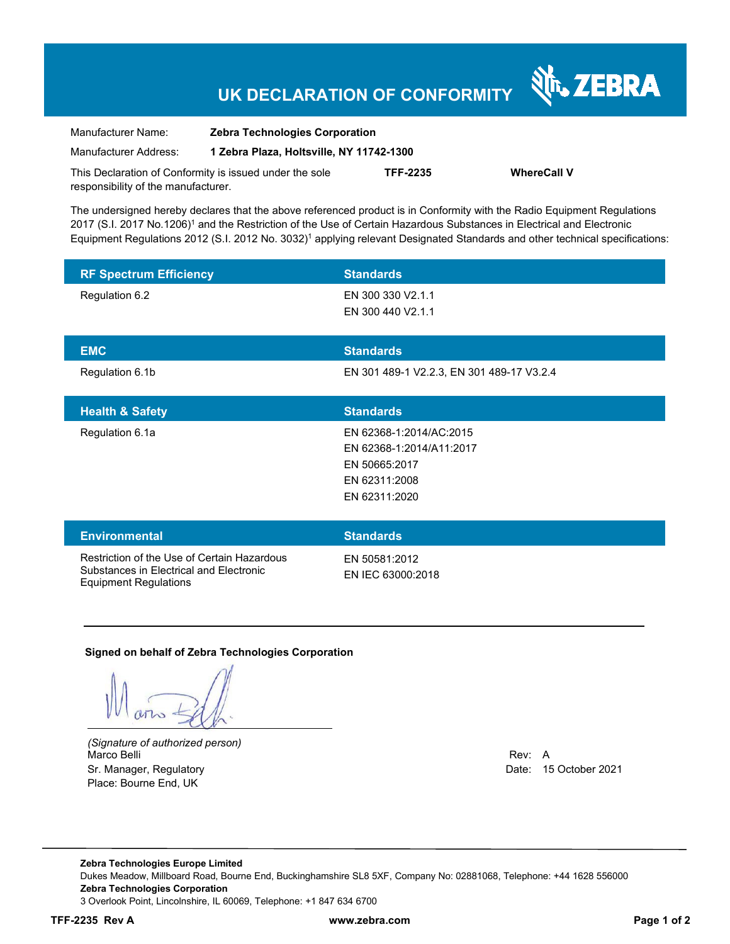## **UK DECLARATION OF CONFORMITY**

| Manufacturer Name:                                      | <b>Zebra Technologies Corporation</b>    |                 |                    |
|---------------------------------------------------------|------------------------------------------|-----------------|--------------------|
| Manufacturer Address:                                   | 1 Zebra Plaza, Holtsville, NY 11742-1300 |                 |                    |
| This Declaration of Conformity is issued under the sole |                                          | <b>TFF-2235</b> | <b>WhereCall V</b> |
| responsibility of the manufacturer.                     |                                          |                 |                    |

The undersigned hereby declares that the above referenced product is in Conformity with the Radio Equipment Regulations 2017 (S.I. 2017 No.1206)1 and the Restriction of the Use of Certain Hazardous Substances in Electrical and Electronic Equipment Regulations 2012 (S.I. 2012 No. 3032)1 applying relevant Designated Standards and other technical specifications:

| <b>RF Spectrum Efficiency</b>                                                          | <b>Standards</b>                                                                                       |
|----------------------------------------------------------------------------------------|--------------------------------------------------------------------------------------------------------|
| Regulation 6.2                                                                         | EN 300 330 V2.1.1<br>EN 300 440 V2.1.1                                                                 |
| <b>EMC</b>                                                                             | <b>Standards</b>                                                                                       |
| Regulation 6.1b                                                                        | EN 301 489-1 V2.2.3, EN 301 489-17 V3.2.4                                                              |
| <b>Health &amp; Safety</b>                                                             | <b>Standards</b>                                                                                       |
| Regulation 6.1a                                                                        | EN 62368-1:2014/AC:2015<br>EN 62368-1:2014/A11:2017<br>EN 50665:2017<br>EN 62311:2008<br>EN 62311:2020 |
| <b>Environmental</b>                                                                   | <b>Standards</b>                                                                                       |
| Restriction of the Use of Certain Hazardous<br>Substances in Electrical and Electronic | EN 50581:2012<br>EN IEC 63000:2018                                                                     |

#### **Signed on behalf of Zebra Technologies Corporation**

Equipment Regulations

*(Signature of authorized person)* Marco Belli Rev: A Sr. Manager, Regulatory **Date: 15 October 2021** Place: Bourne End, UK

**Nr. ZEBRA** 

**Zebra Technologies Europe Limited** Dukes Meadow, Millboard Road, Bourne End, Buckinghamshire SL8 5XF, Company No: 02881068, Telephone: +44 1628 556000 **Zebra Technologies Corporation**  3 Overlook Point, Lincolnshire, IL 60069, Telephone: +1 847 634 6700